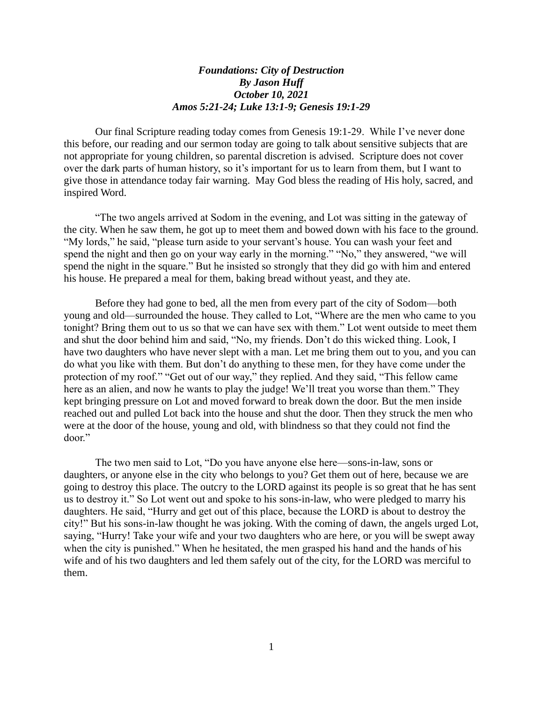## *Foundations: City of Destruction By Jason Huff October 10, 2021 Amos 5:21-24; Luke 13:1-9; Genesis 19:1-29*

Our final Scripture reading today comes from Genesis 19:1-29. While I've never done this before, our reading and our sermon today are going to talk about sensitive subjects that are not appropriate for young children, so parental discretion is advised. Scripture does not cover over the dark parts of human history, so it's important for us to learn from them, but I want to give those in attendance today fair warning. May God bless the reading of His holy, sacred, and inspired Word.

"The two angels arrived at Sodom in the evening, and Lot was sitting in the gateway of the city. When he saw them, he got up to meet them and bowed down with his face to the ground. "My lords," he said, "please turn aside to your servant's house. You can wash your feet and spend the night and then go on your way early in the morning." "No," they answered, "we will spend the night in the square." But he insisted so strongly that they did go with him and entered his house. He prepared a meal for them, baking bread without yeast, and they ate.

Before they had gone to bed, all the men from every part of the city of Sodom—both young and old—surrounded the house. They called to Lot, "Where are the men who came to you tonight? Bring them out to us so that we can have sex with them." Lot went outside to meet them and shut the door behind him and said, "No, my friends. Don't do this wicked thing. Look, I have two daughters who have never slept with a man. Let me bring them out to you, and you can do what you like with them. But don't do anything to these men, for they have come under the protection of my roof." "Get out of our way," they replied. And they said, "This fellow came here as an alien, and now he wants to play the judge! We'll treat you worse than them." They kept bringing pressure on Lot and moved forward to break down the door. But the men inside reached out and pulled Lot back into the house and shut the door. Then they struck the men who were at the door of the house, young and old, with blindness so that they could not find the door."

The two men said to Lot, "Do you have anyone else here—sons-in-law, sons or daughters, or anyone else in the city who belongs to you? Get them out of here, because we are going to destroy this place. The outcry to the LORD against its people is so great that he has sent us to destroy it." So Lot went out and spoke to his sons-in-law, who were pledged to marry his daughters. He said, "Hurry and get out of this place, because the LORD is about to destroy the city!" But his sons-in-law thought he was joking. With the coming of dawn, the angels urged Lot, saying, "Hurry! Take your wife and your two daughters who are here, or you will be swept away when the city is punished." When he hesitated, the men grasped his hand and the hands of his wife and of his two daughters and led them safely out of the city, for the LORD was merciful to them.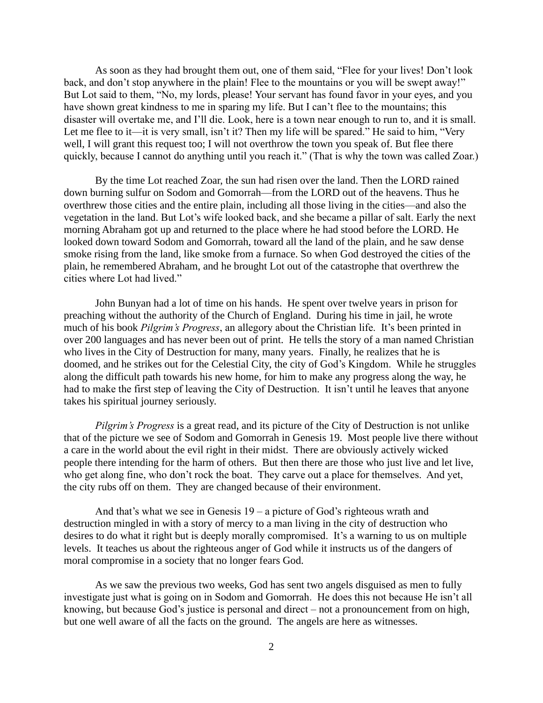As soon as they had brought them out, one of them said, "Flee for your lives! Don't look back, and don't stop anywhere in the plain! Flee to the mountains or you will be swept away!" But Lot said to them, "No, my lords, please! Your servant has found favor in your eyes, and you have shown great kindness to me in sparing my life. But I can't flee to the mountains; this disaster will overtake me, and I'll die. Look, here is a town near enough to run to, and it is small. Let me flee to it—it is very small, isn't it? Then my life will be spared." He said to him, "Very well, I will grant this request too; I will not overthrow the town you speak of. But flee there quickly, because I cannot do anything until you reach it." (That is why the town was called Zoar.)

By the time Lot reached Zoar, the sun had risen over the land. Then the LORD rained down burning sulfur on Sodom and Gomorrah—from the LORD out of the heavens. Thus he overthrew those cities and the entire plain, including all those living in the cities—and also the vegetation in the land. But Lot's wife looked back, and she became a pillar of salt. Early the next morning Abraham got up and returned to the place where he had stood before the LORD. He looked down toward Sodom and Gomorrah, toward all the land of the plain, and he saw dense smoke rising from the land, like smoke from a furnace. So when God destroyed the cities of the plain, he remembered Abraham, and he brought Lot out of the catastrophe that overthrew the cities where Lot had lived."

John Bunyan had a lot of time on his hands. He spent over twelve years in prison for preaching without the authority of the Church of England. During his time in jail, he wrote much of his book *Pilgrim's Progress*, an allegory about the Christian life. It's been printed in over 200 languages and has never been out of print. He tells the story of a man named Christian who lives in the City of Destruction for many, many years. Finally, he realizes that he is doomed, and he strikes out for the Celestial City, the city of God's Kingdom. While he struggles along the difficult path towards his new home, for him to make any progress along the way, he had to make the first step of leaving the City of Destruction. It isn't until he leaves that anyone takes his spiritual journey seriously.

*Pilgrim's Progress* is a great read, and its picture of the City of Destruction is not unlike that of the picture we see of Sodom and Gomorrah in Genesis 19. Most people live there without a care in the world about the evil right in their midst. There are obviously actively wicked people there intending for the harm of others. But then there are those who just live and let live, who get along fine, who don't rock the boat. They carve out a place for themselves. And yet, the city rubs off on them. They are changed because of their environment.

And that's what we see in Genesis 19 – a picture of God's righteous wrath and destruction mingled in with a story of mercy to a man living in the city of destruction who desires to do what it right but is deeply morally compromised. It's a warning to us on multiple levels. It teaches us about the righteous anger of God while it instructs us of the dangers of moral compromise in a society that no longer fears God.

As we saw the previous two weeks, God has sent two angels disguised as men to fully investigate just what is going on in Sodom and Gomorrah. He does this not because He isn't all knowing, but because God's justice is personal and direct – not a pronouncement from on high, but one well aware of all the facts on the ground. The angels are here as witnesses.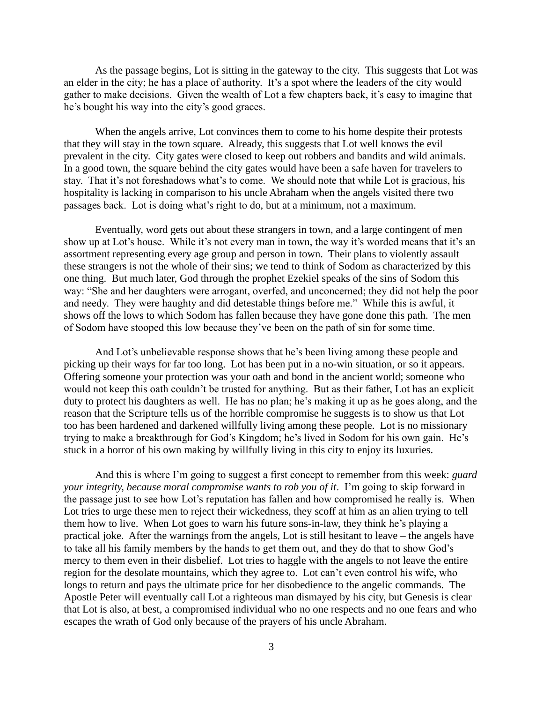As the passage begins, Lot is sitting in the gateway to the city. This suggests that Lot was an elder in the city; he has a place of authority. It's a spot where the leaders of the city would gather to make decisions. Given the wealth of Lot a few chapters back, it's easy to imagine that he's bought his way into the city's good graces.

When the angels arrive, Lot convinces them to come to his home despite their protests that they will stay in the town square. Already, this suggests that Lot well knows the evil prevalent in the city. City gates were closed to keep out robbers and bandits and wild animals. In a good town, the square behind the city gates would have been a safe haven for travelers to stay. That it's not foreshadows what's to come. We should note that while Lot is gracious, his hospitality is lacking in comparison to his uncle Abraham when the angels visited there two passages back. Lot is doing what's right to do, but at a minimum, not a maximum.

Eventually, word gets out about these strangers in town, and a large contingent of men show up at Lot's house. While it's not every man in town, the way it's worded means that it's an assortment representing every age group and person in town. Their plans to violently assault these strangers is not the whole of their sins; we tend to think of Sodom as characterized by this one thing. But much later, God through the prophet Ezekiel speaks of the sins of Sodom this way: "She and her daughters were arrogant, overfed, and unconcerned; they did not help the poor and needy. They were haughty and did detestable things before me." While this is awful, it shows off the lows to which Sodom has fallen because they have gone done this path. The men of Sodom have stooped this low because they've been on the path of sin for some time.

And Lot's unbelievable response shows that he's been living among these people and picking up their ways for far too long. Lot has been put in a no-win situation, or so it appears. Offering someone your protection was your oath and bond in the ancient world; someone who would not keep this oath couldn't be trusted for anything. But as their father, Lot has an explicit duty to protect his daughters as well. He has no plan; he's making it up as he goes along, and the reason that the Scripture tells us of the horrible compromise he suggests is to show us that Lot too has been hardened and darkened willfully living among these people. Lot is no missionary trying to make a breakthrough for God's Kingdom; he's lived in Sodom for his own gain. He's stuck in a horror of his own making by willfully living in this city to enjoy its luxuries.

And this is where I'm going to suggest a first concept to remember from this week: *guard your integrity, because moral compromise wants to rob you of it*. I'm going to skip forward in the passage just to see how Lot's reputation has fallen and how compromised he really is. When Lot tries to urge these men to reject their wickedness, they scoff at him as an alien trying to tell them how to live. When Lot goes to warn his future sons-in-law, they think he's playing a practical joke. After the warnings from the angels, Lot is still hesitant to leave – the angels have to take all his family members by the hands to get them out, and they do that to show God's mercy to them even in their disbelief. Lot tries to haggle with the angels to not leave the entire region for the desolate mountains, which they agree to. Lot can't even control his wife, who longs to return and pays the ultimate price for her disobedience to the angelic commands. The Apostle Peter will eventually call Lot a righteous man dismayed by his city, but Genesis is clear that Lot is also, at best, a compromised individual who no one respects and no one fears and who escapes the wrath of God only because of the prayers of his uncle Abraham.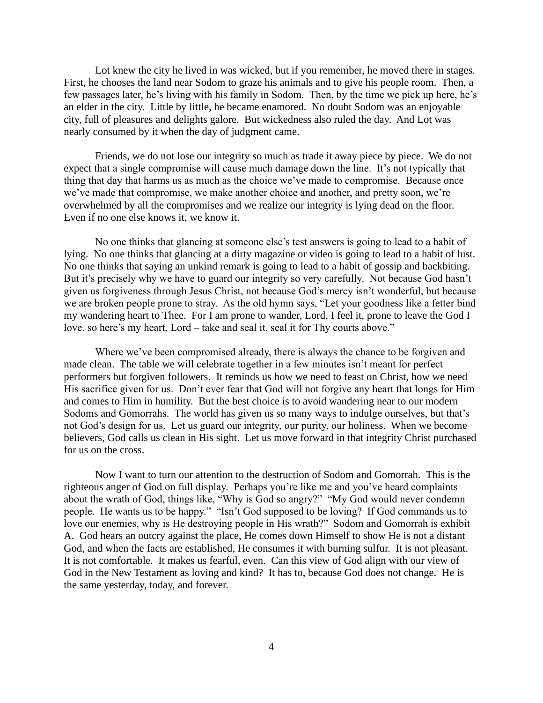Lot knew the city he lived in was wicked, but if you remember, he moved there in stages. First, he chooses the land near Sodom to graze his animals and to give his people room. Then, a few passages later, he's living with his family in Sodom. Then, by the time we pick up here, he's an elder in the city. Little by little, he became enamored. No doubt Sodom was an enjoyable city, full of pleasures and delights galore. But wickedness also ruled the day. And Lot was nearly consumed by it when the day of judgment came.

Friends, we do not lose our integrity so much as trade it away piece by piece. We do not expect that a single compromise will cause much damage down the line. It's not typically that thing that day that harms us as much as the choice we've made to compromise. Because once we've made that compromise, we make another choice and another, and pretty soon, we're overwhelmed by all the compromises and we realize our integrity is lying dead on the floor. Even if no one else knows it, we know it.

No one thinks that glancing at someone else's test answers is going to lead to a habit of lying. No one thinks that glancing at a dirty magazine or video is going to lead to a habit of lust. No one thinks that saying an unkind remark is going to lead to a habit of gossip and backbiting. But it's precisely why we have to guard our integrity so very carefully. Not because God hasn't given us forgiveness through Jesus Christ, not because God's mercy isn't wonderful, but because we are broken people prone to stray. As the old hymn says, "Let your goodness like a fetter bind my wandering heart to Thee. For I am prone to wander, Lord, I feel it, prone to leave the God I love, so here's my heart, Lord – take and seal it, seal it for Thy courts above."

Where we've been compromised already, there is always the chance to be forgiven and made clean. The table we will celebrate together in a few minutes isn't meant for perfect performers but forgiven followers. It reminds us how we need to feast on Christ, how we need His sacrifice given for us. Don't ever fear that God will not forgive any heart that longs for Him and comes to Him in humility. But the best choice is to avoid wandering near to our modern Sodoms and Gomorrahs. The world has given us so many ways to indulge ourselves, but that's not God's design for us. Let us guard our integrity, our purity, our holiness. When we become believers, God calls us clean in His sight. Let us move forward in that integrity Christ purchased for us on the cross.

Now I want to turn our attention to the destruction of Sodom and Gomorrah. This is the righteous anger of God on full display. Perhaps you're like me and you've heard complaints about the wrath of God, things like, "Why is God so angry?" "My God would never condemn people. He wants us to be happy." "Isn't God supposed to be loving? If God commands us to love our enemies, why is He destroying people in His wrath?" Sodom and Gomorrah is exhibit A. God hears an outcry against the place, He comes down Himself to show He is not a distant God, and when the facts are established, He consumes it with burning sulfur. It is not pleasant. It is not comfortable. It makes us fearful, even. Can this view of God align with our view of God in the New Testament as loving and kind? It has to, because God does not change. He is the same yesterday, today, and forever.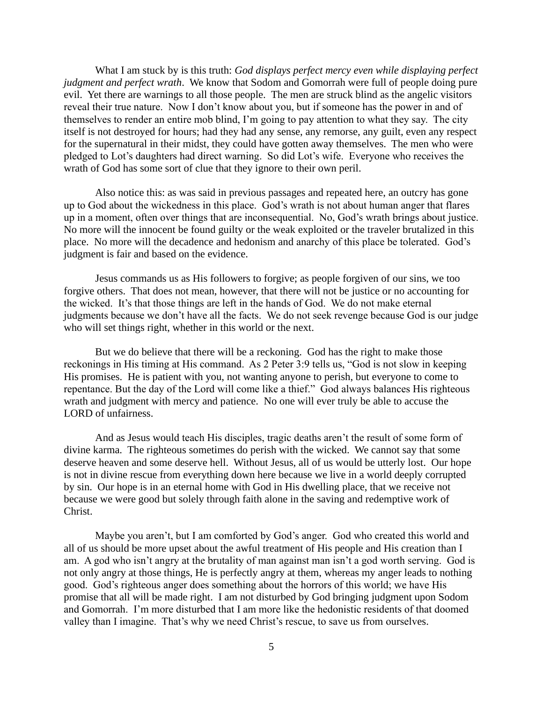What I am stuck by is this truth: *God displays perfect mercy even while displaying perfect judgment and perfect wrath*. We know that Sodom and Gomorrah were full of people doing pure evil. Yet there are warnings to all those people. The men are struck blind as the angelic visitors reveal their true nature. Now I don't know about you, but if someone has the power in and of themselves to render an entire mob blind, I'm going to pay attention to what they say. The city itself is not destroyed for hours; had they had any sense, any remorse, any guilt, even any respect for the supernatural in their midst, they could have gotten away themselves. The men who were pledged to Lot's daughters had direct warning. So did Lot's wife. Everyone who receives the wrath of God has some sort of clue that they ignore to their own peril.

Also notice this: as was said in previous passages and repeated here, an outcry has gone up to God about the wickedness in this place. God's wrath is not about human anger that flares up in a moment, often over things that are inconsequential. No, God's wrath brings about justice. No more will the innocent be found guilty or the weak exploited or the traveler brutalized in this place. No more will the decadence and hedonism and anarchy of this place be tolerated. God's judgment is fair and based on the evidence.

Jesus commands us as His followers to forgive; as people forgiven of our sins, we too forgive others. That does not mean, however, that there will not be justice or no accounting for the wicked. It's that those things are left in the hands of God. We do not make eternal judgments because we don't have all the facts. We do not seek revenge because God is our judge who will set things right, whether in this world or the next.

But we do believe that there will be a reckoning. God has the right to make those reckonings in His timing at His command. As 2 Peter 3:9 tells us, "God is not slow in keeping His promises. He is patient with you, not wanting anyone to perish, but everyone to come to repentance. But the day of the Lord will come like a thief." God always balances His righteous wrath and judgment with mercy and patience. No one will ever truly be able to accuse the LORD of unfairness.

And as Jesus would teach His disciples, tragic deaths aren't the result of some form of divine karma. The righteous sometimes do perish with the wicked. We cannot say that some deserve heaven and some deserve hell. Without Jesus, all of us would be utterly lost. Our hope is not in divine rescue from everything down here because we live in a world deeply corrupted by sin. Our hope is in an eternal home with God in His dwelling place, that we receive not because we were good but solely through faith alone in the saving and redemptive work of Christ.

Maybe you aren't, but I am comforted by God's anger. God who created this world and all of us should be more upset about the awful treatment of His people and His creation than I am. A god who isn't angry at the brutality of man against man isn't a god worth serving. God is not only angry at those things, He is perfectly angry at them, whereas my anger leads to nothing good. God's righteous anger does something about the horrors of this world; we have His promise that all will be made right. I am not disturbed by God bringing judgment upon Sodom and Gomorrah. I'm more disturbed that I am more like the hedonistic residents of that doomed valley than I imagine. That's why we need Christ's rescue, to save us from ourselves.